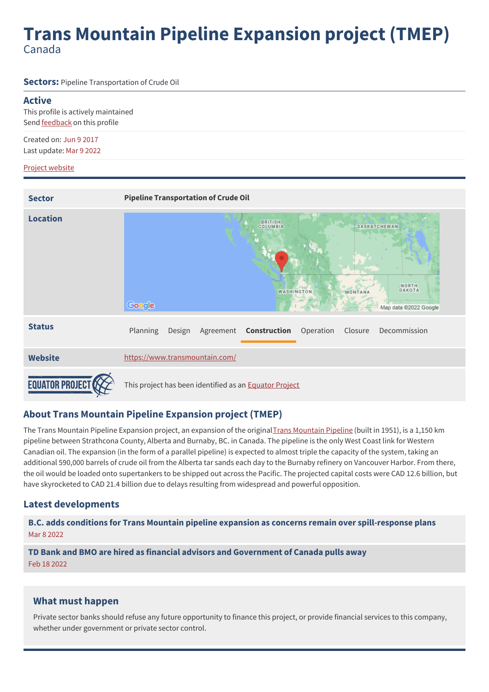# **Trans Mountain Pipeline Expansion project (TMEP)** Canada

**Sectors:** Pipeline Transportation of Crude Oil

#### **Active**

This profile is actively maintained Send [feedback](https://www.banktrack.org/feedback/dodgydeal/trans_mountain_pipeline_expansion_project_tmep) on this profile

Created on: Jun 9 2017 Last update: Mar 9 2022

#### Project [website](https://www.transmountain.com/)

| <b>Sector</b>   | <b>Pipeline Transportation of Crude Oil</b>                                                                                      |
|-----------------|----------------------------------------------------------------------------------------------------------------------------------|
| <b>Location</b> | <b>BRITISH</b><br>COLUMBIA<br><b>SASKATCHEWAN</b><br>NORTH<br>DAKOTA<br>WASHINGTON<br>MONTANA<br>Google<br>Map data @2022 Google |
| <b>Status</b>   | Planning<br>Construction<br>Operation<br>Decommission<br>Design<br>Agreement<br>Closure                                          |
| <b>Website</b>  | https://www.transmountain.com/                                                                                                   |
|                 | This project has been identified as an <b>Equator Project</b>                                                                    |

# **About Trans Mountain Pipeline Expansion project (TMEP)**

The Trans [Mountain](https://www.transmountain.com/map) Pipeline Expansion project, an expansion of the original Trans Mountain Pipeline (built in 1951), is a 1,150 km pipeline between Strathcona County, Alberta and Burnaby, BC. in Canada. The pipeline is the only West Coast link for Western Canadian oil. The expansion (in the form of a parallel pipeline) is expected to almost triple the capacity of the system, taking an additional 590,000 barrels of crude oil from the Alberta tar sands each day to the Burnaby refinery on Vancouver Harbor. From there, the oil would be loaded onto supertankers to be shipped out across the Pacific. The projected capital costs were CAD 12.6 billion, but have skyrocketed to CAD 21.4 billion due to delays resulting from widespread and powerful opposition.

## **Latest developments**

**B.C. adds conditions for Trans Mountain pipeline expansion as concerns remain over [spill-response](javascript:void(0)) plans** Mar 8 2022

**TD Bank and BMO are hired as financial advisors and [Government](javascript:void(0)) of Canada pulls away** Feb 18 2022

## **What must happen**

Private sector banks should refuse any future opportunity to finance this project, or provide financial services to this company, whether under government or private sector control.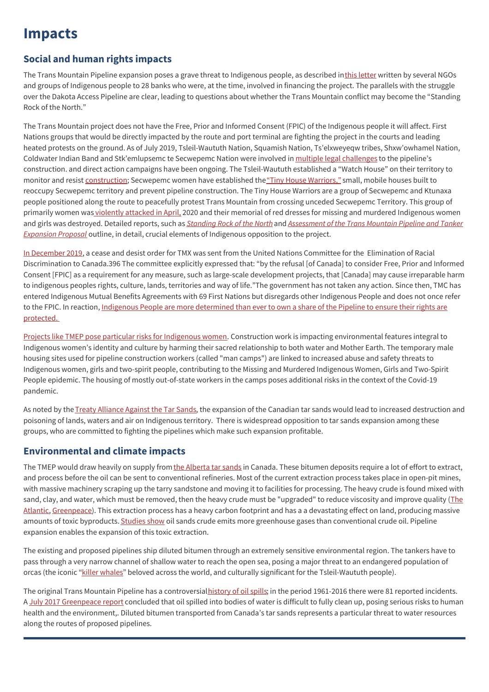# **Impacts**

# **Social and human rights impacts**

The Trans Mountain Pipeline expansion poses a grave threat to Indigenous people, as described in this [letter](https://www.banktrack.org/download/letter_to_ceos_of_14_banks_that_underwrote_kinder_morgan_canada_ipo_and_14_banks_supplying_kinder_morgan_revolving_credit_facilities/trans_mountain_letter_june_2017.pdf) written by several NGOs and groups of Indigenous people to 28 banks who were, at the time, involved in financing the project. The parallels with the struggle over the Dakota Access Pipeline are clear, leading to questions about whether the Trans Mountain conflict may become the "Standing Rock of the North."

The Trans Mountain project does not have the Free, Prior and Informed Consent (FPIC) of the Indigenous people it will affect. First Nations groups that would be directly impacted by the route and port terminal are fighting the project in the courts and leading heated protests on the ground. As of July 2019, Tsleil-Waututh Nation, Squamish Nation, Ts'elxweyeqw tribes, Shxw'owhamel Nation, Coldwater Indian Band and Stk'emlupsemc te Secwepemc Nation were involved in multiple legal [challenges](https://globalnews.ca/news/5475603/first-nations-legal-challenge-trans-mountain/%20Indigenous-led%20blockades) to the pipeline's construction. and direct action campaigns have been ongoing. The Tsleil-Waututh established a "Watch House" on their territory to monitor and resist construction; Secwepemc women have established the "Tiny House [Warriors,"](http://tinyhousewarriors.com/) small, mobile houses built to reoccupy Secwepemc territory and prevent pipeline construction. The Tiny House Warriors are a group of Secwepemc and Ktunaxa people positioned along the route to peacefully protest Trans Mountain from crossing unceded Secwepemc Territory. This group of primarily women was violently [attacked](http://www.wecaninternational.org/2021-divestment-report) in April, 2020 and their memorial of red dresses for missing and murdered Indigenous women and girls was destroyed. Detailed reports, such as [Standing](https://www.banktrack.org/download/standing_rock_of_the_north) Rock of the North and [Assessment](https://twnsacredtrust.ca/assessment-report-download/) of the Trans Mountain Pipeline and Tanker *Expansion Proposal* outline, in detail, crucial elements of Indigenous opposition to the project.

In [December](http://www.wecaninternational.org/2021-divestment-report) 2019, a cease and desist order for TMX was sent from the United Nations Committee for the Elimination of Racial Discrimination to Canada.396 The committee explicitly expressed that: "by the refusal [of Canada] to consider Free, Prior and Informed Consent [FPIC] as a requirement for any measure, such as large-scale development projects, that [Canada] may cause irreparable harm to indigenous peoples rights, culture, lands, territories and way of life."The government has not taken any action. Since then, TMC has entered Indigenous Mutual Benefits Agreements with 69 First Nations but disregards other Indigenous People and does not once refer to the FPIC. In reaction, Indigenous People are more [determined](https://www.cbc.ca/news/canada/calgary/trans-mountain-pipeline-alberta-nesika-1.6376011) than ever to own a share of the Pipeline to ensure their rights are protected.

Projects like TMEP pose particular risks for [Indigenous](https://www.wecaninternational.org/2021-divestment-report) women. Construction work is impacting environmental features integral to Indigenous women's identity and culture by harming their sacred relationship to both water and Mother Earth. The temporary male housing sites used for pipeline construction workers (called "man camps") are linked to increased abuse and safety threats to Indigenous women, girls and two-spirit people, contributing to the Missing and Murdered Indigenous Women, Girls and Two-Spirit People epidemic. The housing of mostly out-of-state workers in the camps poses additional risks in the context of the Covid-19 pandemic.

As noted by the Treaty [Alliance](http://www.treatyalliance.org/wp-content/uploads/2016/12/TreatyandAdditionalInformation-20161216-OL.pdf) Against the Tar Sands, the expansion of the Canadian tar sands would lead to increased destruction and poisoning of lands, waters and air on Indigenous territory. There is widespread opposition to tar sands expansion among these groups, who are committed to fighting the pipelines which make such expansion profitable.

# **Environmental and climate impacts**

The TMEP would draw heavily on supply from the [Alberta](https://www.nrdc.org/stories/dirty-fight-over-canadian-tar-sands-oil) tar sands in Canada. These bitumen deposits require a lot of effort to extract, and process before the oil can be sent to conventional refineries. Most of the current extraction process takes place in open-pit mines, with massive machinery scraping up the tarry sandstone and moving it to facilities for processing. The heavy crude is found mixed with sand, clay, and water, which must be removed, then the heavy crude must be "upgraded" to reduce viscosity and improve quality (The Atlantic, [Greenpeace\).](https://www.theatlantic.com/photo/2014/09/the-alberta-tar-sands/100820/) This extraction process has a heavy carbon footprint and has a a devastating effect on land, producing massive amounts of toxic byproducts. [Studies](http://energyeducation.ca/encyclopedia/Environmental_impacts_of_oil_sands) show oil sands crude emits more greenhouse gases than conventional crude oil. Pipeline expansion enables the expansion of this toxic extraction.

The existing and proposed pipelines ship diluted bitumen through an extremely sensitive environmental region. The tankers have to pass through a very narrow channel of shallow water to reach the open sea, posing a major threat to an endangered population of orcas (the iconic "killer [whales](https://twnsacredtrust.ca/concerns/orcas/)" beloved across the world, and culturally significant for the Tsleil-Waututh people).

The original Trans Mountain Pipeline has a controversial [history](http://credbc.ca/assessing-the-risks/) of oil spills; in the period 1961-2016 there were 81 reported incidents. A July 2017 [Greenpeace](https://www.banktrack.org/download/four_proposed_tar_sands_oil_pipelines_pose_a_threat_to_water_resources/tarsandspipelinespillreport_greenpeace_july_2017.pdf) report concluded that oil spilled into bodies of water is difficult to fully clean up, posing serious risks to human health and the environment,. Diluted bitumen transported from Canada's tar sands represents a particular threat to water resources along the routes of proposed pipelines.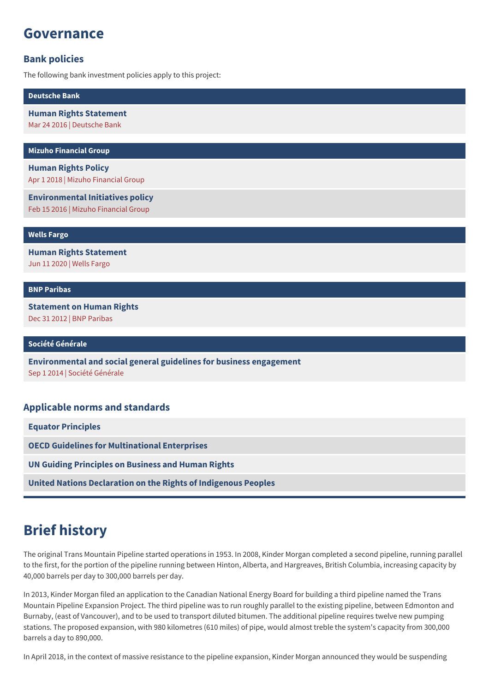# **Governance**

# **Bank policies**

The following bank investment policies apply to this project:

**[Deutsche](https://www.banktrack.org/show/bankprofile/deutsche_bank) Bank**

**Human Rights [Statement](https://www.banktrack.org/download/deutsche_bank_human_rights_statement_1_pdf)** Mar 24 2016 | Deutsche Bank

**Mizuho [Financial](https://www.banktrack.org/show/bankprofile/mizuho) Group**

**[Human](https://www.mizuhogroup.com/sustainability/human-rights/respect) Rights Policy** Apr 1 2018 | Mizuho Financial Group

**[Environmental](https://www.banktrack.org/download/160822_environment_pdf) Initiatives policy** Feb 15 2016 | Mizuho Financial Group

**Wells [Fargo](https://www.banktrack.org/show/bankprofile/wells_fargo)**

**Human Rights [Statement](https://www08.wellsfargomedia.com/assets/pdf/about/corporate-responsibility/human-rights-statement.pdf)**

Jun 11 2020 | Wells Fargo

#### **BNP [Paribas](https://www.banktrack.org/show/bankprofile/bnp_paribas)**

**[Statement](https://www.banktrack.org/download/9_bnp_paribas_statement_on_human_rights_pdf) on Human Rights** Dec 31 2012 | BNP Paribas

**Société [Générale](https://www.banktrack.org/show/bankprofile/societe_generale)**

**[Environmental](http://www.societegenerale.com/sites/default/files/documents/Document%20RSE/Finance%20responsable/Envrionmental%20and%20Social%20General%20Guidelines%20for%20Business%20Engagement.pdf) and social general guidelines for business engagement** Sep 1 2014 | Société Générale

## **Applicable norms and standards**

**Equator [Principles](http://www.equator-principles.com)**

**OECD Guidelines for [Multinational](http://www.oecd.org/document/28/0,3746,en_2649_34889_2397532_1_1_1_1,00.html) Enterprises**

**UN Guiding [Principles](http://business-humanrights.org/en/un-guiding-principles) on Business and Human Rights**

**United Nations [Declaration](http://www.un.org/esa/socdev/unpfii/documents/DRIPS_en.pdf) on the Rights of Indigenous Peoples**

# **Brief history**

The original Trans Mountain Pipeline started operations in 1953. In 2008, Kinder Morgan completed a second pipeline, running parallel to the first, for the portion of the pipeline running between Hinton, Alberta, and Hargreaves, British Columbia, increasing capacity by 40,000 barrels per day to 300,000 barrels per day.

In 2013, Kinder Morgan filed an application to the Canadian National Energy Board for building a third pipeline named the Trans Mountain Pipeline Expansion Project. The third pipeline was to run roughly parallel to the existing pipeline, between Edmonton and Burnaby, (east of Vancouver), and to be used to transport diluted bitumen. The additional pipeline requires twelve new pumping stations. The proposed expansion, with 980 kilometres (610 miles) of pipe, would almost treble the system's capacity from 300,000 barrels a day to 890,000.

In April 2018, in the context of massive resistance to the pipeline expansion, Kinder Morgan announced they would be suspending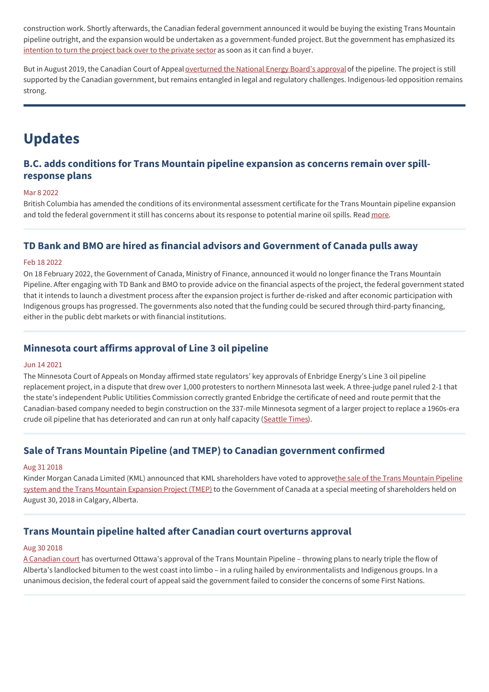construction work. Shortly afterwards, the Canadian federal government announced it would be buying the existing Trans Mountain pipeline outright, and the expansion would be undertaken as a government-funded project. But the government has emphasized its [intention](https://www.cbc.ca/news/canada/edmonton/amarjeet-sohi-trans-mountain-pipeline-1.4753234) to turn the project back over to the private sector as soon as it can find a buyer.

But in August 2019, the Canadian Court of Appeal [overturned](https://decisions.fca-caf.gc.ca/fca-caf/decisions/en/item/343511/index.do) the National Energy Board's approvalof the pipeline. The project is still supported by the Canadian government, but remains entangled in legal and regulatory challenges. Indigenous-led opposition remains strong.

# **Updates**

# **B.C. adds conditions for Trans Mountain pipeline expansion as concerns remain over spillresponse plans**

#### Mar 8 2022

British Columbia has amended the conditions of its environmental assessment certificate for the Trans Mountain pipeline expansion and told the federal government it still has concerns about its response to potential marine oil spills. Read [more](https://www.cbc.ca/news/canada/british-columbia/trans-mountain-conditions-1.6376895).

## **TD Bank and BMO are hired as financial advisors and Government of Canada pulls away**

#### Feb 18 2022

On 18 February 2022, the Government of Canada, Ministry of Finance, announced it would no longer finance the Trans Mountain Pipeline. After engaging with TD Bank and BMO to provide advice on the financial aspects of the project, the federal government stated that it intends to launch a divestment process after the expansion project is further de-risked and after economic participation with Indigenous groups has progressed. The governments also noted that the funding could be secured through third-party financing, either in the public debt markets or with financial institutions.

# **Minnesota court affirms approval of Line 3 oil pipeline**

#### Jun 14 2021

The Minnesota Court of Appeals on Monday affirmed state regulators' key approvals of Enbridge Energy's Line 3 oil pipeline replacement project, in a dispute that drew over 1,000 protesters to northern Minnesota last week. A three-judge panel ruled 2-1 that the state's independent Public Utilities Commission correctly granted Enbridge the certificate of need and route permit that the Canadian-based company needed to begin construction on the 337-mile Minnesota segment of a larger project to replace a 1960s-era crude oil pipeline that has deteriorated and can run at only half capacity [\(Seattle](https://www.seattletimes.com/business/minnesota-court-affirms-approval-of-line-3-oil-pipeline/?mbid=&utm_source=nl&utm_brand=tny&utm_mailing=TNY_Climate_061621&utm_campaign=aud-dev&utm_medium=email&bxid=5e66849f7e553f0e05513fa9&cndid=60247809&hasha=ccd7fa1e5c42983a12856e6c88bb8aa6&hashb=55e3e7deb13b7c0d619d513bc62d380381d08c99&hashc=52dd630e489596480112d5bc01c27291ec7f620e0fab0fc480c60d01cad3baee&esrc=&utm_term=TNY_ClimateCrisis) Times).

## **Sale of Trans Mountain Pipeline (and TMEP) to Canadian government confirmed**

#### Aug 31 2018

Kinder Morgan Canada Limited (KML) announced that KML shareholders have voted to approvethe sale of the Trans Mountain Pipeline system and the Trans Mountain Expansion Project (TMEP) to the Government of Canada at a special meeting of [shareholders](https://www.reuters.com/article/us-kinder-morgan-cn-strategy-insight-idUSKCN1IV1B5) held on August 30, 2018 in Calgary, Alberta.

## **Trans Mountain pipeline halted after Canadian court overturns approval**

#### Aug 30 2018

A [Canadian](https://www.theguardian.com/world/2018/aug/30/trans-mountain-pipeline-latest-canada-court-overturns) court has overturned Ottawa's approval of the Trans Mountain Pipeline – throwing plans to nearly triple the flow of Alberta's landlocked bitumen to the west coast into limbo – in a ruling hailed by environmentalists and Indigenous groups. In a unanimous decision, the federal court of appeal said the government failed to consider the concerns of some First Nations.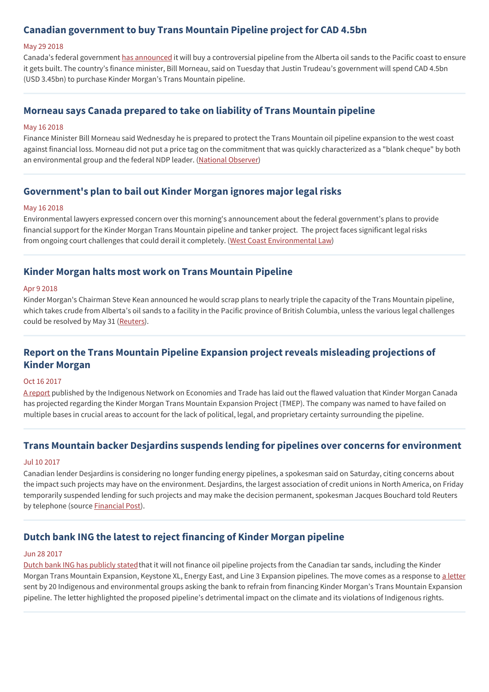# **Canadian government to buy Trans Mountain Pipeline project for CAD 4.5bn**

#### May 29 2018

Canada's federal government has [announced](https://www.theguardian.com/world/2018/may/29/canada-kinder-morgan-pipeline-trans-mountain) it will buy a controversial pipeline from the Alberta oil sands to the Pacific coast to ensure it gets built. The country's finance minister, Bill Morneau, said on Tuesday that Justin Trudeau's government will spend CAD 4.5bn (USD 3.45bn) to purchase Kinder Morgan's Trans Mountain pipeline.

## **Morneau says Canada prepared to take on liability of Trans Mountain pipeline**

#### May 16 2018

Finance Minister Bill Morneau said Wednesday he is prepared to protect the Trans Mountain oil pipeline expansion to the west coast against financial loss. Morneau did not put a price tag on the commitment that was quickly characterized as a "blank cheque" by both an environmental group and the federal NDP leader. (National [Observer](https://www.nationalobserver.com/2018/05/16/news/morneau-says-canada-prepared-take-liability-trans-mountain-pipeline))

### **Government's plan to bail out Kinder Morgan ignores major legal risks**

#### May 16 2018

Environmental lawyers expressed concern over this morning's announcement about the federal government's plans to provide financial support for the Kinder Morgan Trans Mountain pipeline and tanker project. The project faces significant legal risks from ongoing court challenges that could derail it completely. (West Coast [Environmental](https://www.wcel.org/media-release/governments-plan-bail-out-kinder-morgan-ignores-major-legal-risks) Law)

### **Kinder Morgan halts most work on Trans Mountain Pipeline**

#### Apr 9 2018

Kinder Morgan's Chairman Steve Kean announced he would scrap plans to nearly triple the capacity of the Trans Mountain pipeline, which takes crude from Alberta's oil sands to a facility in the Pacific province of British Columbia, unless the various legal challenges could be resolved by May 31 [\(Reuters](https://www.reuters.com/article/us-kinder-morgan-cn-pipeline/kinder-morgan-halts-most-work-on-disputed-canada-pipeline-expansion-idUSKBN1HF0ZW)).

# **Report on the Trans Mountain Pipeline Expansion project reveals misleading projections of Kinder Morgan**

#### Oct 16 2017

A [report](https://www.secwepemculecw.org/) published by the Indigenous Network on Economies and Trade has laid out the flawed valuation that Kinder Morgan Canada has projected regarding the Kinder Morgan Trans Mountain Expansion Project (TMEP). The company was named to have failed on multiple bases in crucial areas to account for the lack of political, legal, and proprietary certainty surrounding the pipeline.

## **Trans Mountain backer Desjardins suspends lending for pipelines over concerns for environment**

#### Jul 10 2017

Canadian lender Desjardins is considering no longer funding energy pipelines, a spokesman said on Saturday, citing concerns about the impact such projects may have on the environment. Desjardins, the largest association of credit unions in North America, on Friday temporarily suspended lending for such projects and may make the decision permanent, spokesman Jacques Bouchard told Reuters by telephone (source **[Financial](http://business.financialpost.com/commodities/energy/trans-mountain-backer-desjardins-suspends-lending-for-pipelines-over-concerns-for-environment/wcm/cb22c1e0-0f95-40c3-a7ca-121195b34f83) Post**).

## **Dutch bank ING the latest to reject financing of Kinder Morgan pipeline**

#### Jun 28 2017

Dutch bank ING has [publicly](https://www.banktrack.org/news/dutch_bank_ing_the_latest_to_reject_financing_of_kinder_morgan_pipeline) statedthat it will not finance oil pipeline projects from the Canadian tar sands, including the Kinder Morgan Trans Mountain Expansion, Keystone XL, Energy East, and Line 3 Expansion pipelines. The move comes as a response to a [letter](https://www.thestar.com/news/canada/2017/06/08/environmental-and-indigenous-groups-demand-banks-avoid-supporting-trans-mountain-expansion.html) sent by 20 Indigenous and environmental groups asking the bank to refrain from financing Kinder Morgan's Trans Mountain Expansion pipeline. The letter highlighted the proposed pipeline's detrimental impact on the climate and its violations of Indigenous rights.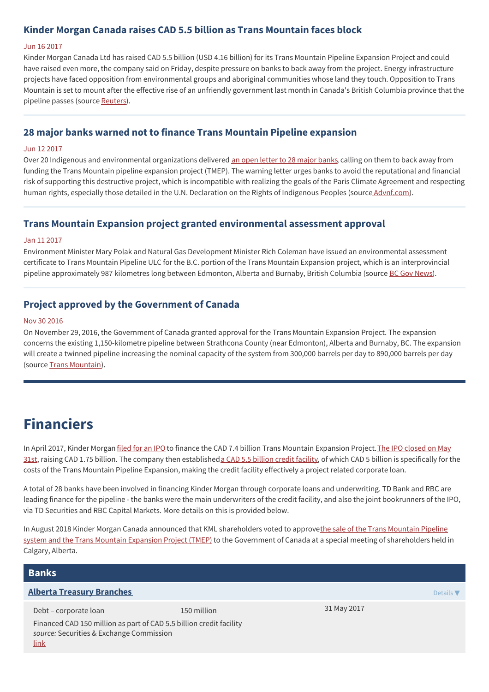# **Kinder Morgan Canada raises CAD 5.5 billion as Trans Mountain faces block**

#### Jun 16 2017

Kinder Morgan Canada Ltd has raised CAD 5.5 billion (USD 4.16 billion) for its Trans Mountain Pipeline Expansion Project and could have raised even more, the company said on Friday, despite pressure on banks to back away from the project. Energy infrastructure projects have faced opposition from environmental groups and aboriginal communities whose land they touch. Opposition to Trans Mountain is set to mount after the effective rise of an unfriendly government last month in Canada's British Columbia province that the pipeline passes (source [Reuters](https://www.reuters.com/article/us-canada-kinder-morgan-de-funds-idUSKBN1972SC)).

# **28 major banks warned not to finance Trans Mountain Pipeline expansion**

#### Jun 12 2017

Over 20 Indigenous and environmental organizations delivered an open letter to 28 [major](https://d3n8a8pro7vhmx.cloudfront.net/rainforestactionnetwork/pages/15221/attachments/original/1496775743/Trans_Mountain_letter_June_2017.pdf?1496775743) banks, calling on them to back away from funding the Trans Mountain pipeline expansion project (TMEP). The warning letter urges banks to avoid the reputational and financial risk of supporting this destructive project, which is incompatible with realizing the goals of the Paris Climate Agreement and respecting human rights, especially those detailed in the U.N. Declaration on the Rights of Indigenous Peoples (source [Advnf.com](https://www.advfn.com/news_28-major-banks-warned-not-to-finance-Trans-Mountai_74978712.html)).

## **Trans Mountain Expansion project granted environmental assessment approval**

#### Jan 11 2017

Environment Minister Mary Polak and Natural Gas Development Minister Rich Coleman have issued an environmental assessment certificate to Trans Mountain Pipeline ULC for the B.C. portion of the Trans Mountain Expansion project, which is an interprovincial pipeline approximately 987 kilometres long between Edmonton, Alberta and Burnaby, British Columbia (source BC Gov [News](https://news.gov.bc.ca/releases/2017ENV0001-000047)).

# **Project approved by the Government of Canada**

#### Nov 30 2016

On November 29, 2016, the Government of Canada granted approval for the Trans Mountain Expansion Project. The expansion concerns the existing 1,150-kilometre pipeline between Strathcona County (near Edmonton), Alberta and Burnaby, BC. The expansion will create a twinned pipeline increasing the nominal capacity of the system from 300,000 barrels per day to 890,000 barrels per day (source Trans [Mountain](https://www.transmountain.com/expansion-project)).

# **Financiers**

In April 2017, Kinder Morgan [filed](https://www.bnnbloomberg.ca/kinder-morgan-canada-files-for-ipo-to-help-finance-trans-mountain-expansion-1.733128) for an IPO to finance the CAD 7.4 billion Trans Mountain Expansion Project. The IPO closed on May 31st, raising CAD 1.75 billion. The company then established a CAD 5.5 billion credit [facility](https://www.reuters.com/article/us-canada-kinder-morgan-de-funds-idUSKBN1972SC), of which CAD 5 billion is specifically for the costs of the Trans Mountain Pipeline Expansion, making the credit facility effectively a project related corporate loan.

A total of 28 banks have been involved in financing Kinder Morgan through corporate loans and underwriting. TD Bank and RBC are leading finance for the pipeline - the banks were the main underwriters of the credit facility, and also the joint bookrunners of the IPO, via TD Securities and RBC Capital Markets. More details on this is provided below.

In August 2018 Kinder Morgan Canada announced that KML shareholders voted to approvethe sale of the Trans Mountain Pipeline system and the Trans Mountain Expansion Project (TMEP) to the Government of Canada at a special meeting of [shareholders](https://www.reuters.com/article/us-kinder-morgan-cn-strategy-insight-idUSKCN1IV1B5) held in Calgary, Alberta.

# **Banks**

#### **Alberta Treasury [Branches](http://www.atb.com/Pages/default.aspx)** Details ▼

Debt – corporate loan 150 million Financed CAD 150 million as part of CAD 5.5 billion credit facility *source:* Securities & Exchange Commission [link](https://www.sec.gov/Archives/edgar/data/1506307/000110465917040966/a17-15457_1ex10d1.htm)

31 May 2017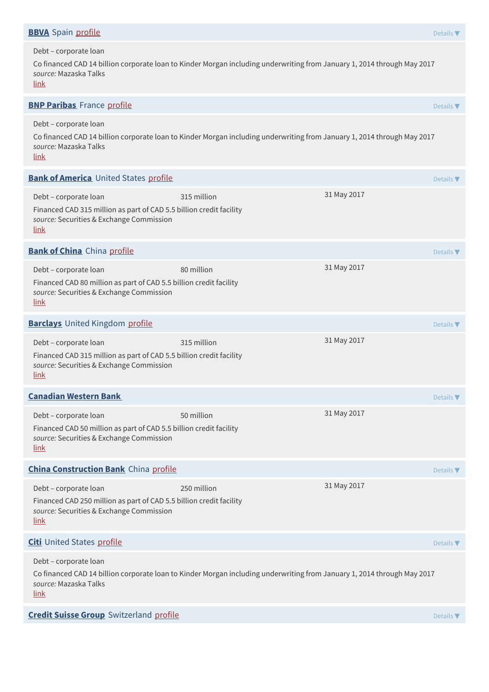| <b>BBVA</b> Spain profile                                                                                                                                                                |             |             | Details $\nabla$             |
|------------------------------------------------------------------------------------------------------------------------------------------------------------------------------------------|-------------|-------------|------------------------------|
| Debt - corporate loan<br>Co financed CAD 14 billion corporate loan to Kinder Morgan including underwriting from January 1, 2014 through May 2017<br>source: Mazaska Talks<br><u>link</u> |             |             |                              |
| <b>BNP Paribas</b> France profile                                                                                                                                                        |             |             | Details $\nabla$             |
| Debt - corporate loan<br>Co financed CAD 14 billion corporate loan to Kinder Morgan including underwriting from January 1, 2014 through May 2017<br>source: Mazaska Talks<br><u>link</u> |             |             |                              |
| <b>Bank of America</b> United States profile                                                                                                                                             |             |             | Details $\blacktriangledown$ |
| Debt - corporate loan<br>Financed CAD 315 million as part of CAD 5.5 billion credit facility<br>source: Securities & Exchange Commission<br><u>link</u>                                  | 315 million | 31 May 2017 |                              |
| <b>Bank of China</b> China profile                                                                                                                                                       |             |             | Details $\nabla$             |
| Debt - corporate loan<br>Financed CAD 80 million as part of CAD 5.5 billion credit facility<br>source: Securities & Exchange Commission<br><u>link</u>                                   | 80 million  | 31 May 2017 |                              |
| <b>Barclays</b> United Kingdom profile                                                                                                                                                   |             |             | Details $\nabla$             |
| Debt - corporate loan<br>Financed CAD 315 million as part of CAD 5.5 billion credit facility<br>source: Securities & Exchange Commission<br><u>link</u>                                  | 315 million | 31 May 2017 |                              |
| <b>Canadian Western Bank</b>                                                                                                                                                             |             |             | Details $\nabla$             |
| Debt - corporate loan<br>Financed CAD 50 million as part of CAD 5.5 billion credit facility<br>source: Securities & Exchange Commission<br><u>link</u>                                   | 50 million  | 31 May 2017 |                              |
| <b>China Construction Bank</b> China profile                                                                                                                                             |             |             | Details $\nabla$             |
| Debt - corporate loan<br>Financed CAD 250 million as part of CAD 5.5 billion credit facility<br>source: Securities & Exchange Commission<br>link                                         | 250 million | 31 May 2017 |                              |
| <b>Citi</b> United States profile                                                                                                                                                        |             |             | Details $\nabla$             |
| Debt - corporate loan<br>Co financed CAD 14 billion corporate loan to Kinder Morgan including underwriting from January 1, 2014 through May 2017<br>source: Mazaska Talks<br><u>link</u> |             |             |                              |
| <b>Credit Suisse Group</b> Switzerland profile                                                                                                                                           |             |             | Details $\nabla$             |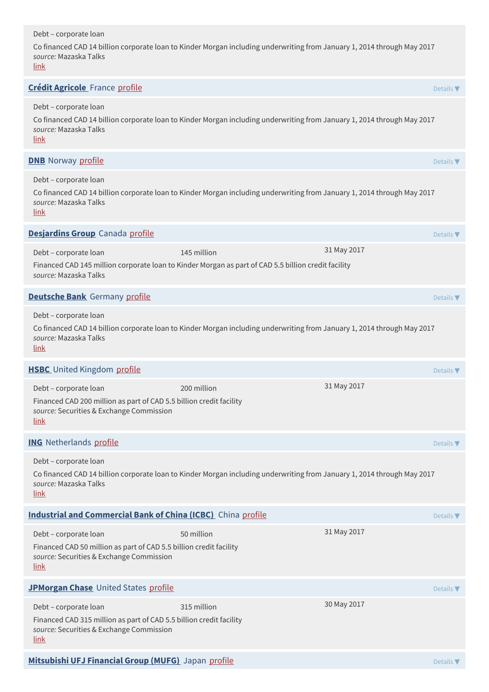### Debt – corporate loan

Co financed CAD 14 billion corporate loan to Kinder Morgan including underwriting from January 1, 2014 through May 2017 *source:* Mazaska Talks

[link](https://mazaskatalks.org/#banks)

| <u>link</u>                                                                                                                                                                       |             |             |                              |
|-----------------------------------------------------------------------------------------------------------------------------------------------------------------------------------|-------------|-------------|------------------------------|
| <b>Crédit Agricole</b> France profile                                                                                                                                             |             |             | Details $\nabla$             |
| Debt - corporate loan<br>Co financed CAD 14 billion corporate loan to Kinder Morgan including underwriting from January 1, 2014 through May 2017<br>source: Mazaska Talks<br>link |             |             |                              |
| <b>DNB</b> Norway profile                                                                                                                                                         |             |             | Details $\blacktriangledown$ |
| Debt - corporate loan<br>Co financed CAD 14 billion corporate loan to Kinder Morgan including underwriting from January 1, 2014 through May 2017<br>source: Mazaska Talks<br>link |             |             |                              |
| Desjardins Group Canada profile                                                                                                                                                   |             |             | Details $\blacktriangledown$ |
| Debt - corporate loan<br>Financed CAD 145 million corporate loan to Kinder Morgan as part of CAD 5.5 billion credit facility<br>source: Mazaska Talks                             | 145 million | 31 May 2017 |                              |
| <b>Deutsche Bank</b> Germany profile                                                                                                                                              |             |             | Details $\nabla$             |
| Debt - corporate loan<br>Co financed CAD 14 billion corporate loan to Kinder Morgan including underwriting from January 1, 2014 through May 2017<br>source: Mazaska Talks<br>link |             |             |                              |
| <b>HSBC</b> United Kingdom profile                                                                                                                                                |             |             | Details $\blacktriangledown$ |
| Debt - corporate loan<br>Financed CAD 200 million as part of CAD 5.5 billion credit facility<br>source: Securities & Exchange Commission<br><u>link</u>                           | 200 million | 31 May 2017 |                              |
| <b>ING</b> Netherlands profile                                                                                                                                                    |             |             | Details $\nabla$             |
| Debt - corporate loan<br>Co financed CAD 14 billion corporate loan to Kinder Morgan including underwriting from January 1, 2014 through May 2017<br>source: Mazaska Talks<br>link |             |             |                              |
| <b>Industrial and Commercial Bank of China (ICBC)</b> China profile                                                                                                               |             |             | Details $\nabla$             |
| Debt - corporate loan<br>Financed CAD 50 million as part of CAD 5.5 billion credit facility<br>source: Securities & Exchange Commission<br><u>link</u>                            | 50 million  | 31 May 2017 |                              |
| JPMorgan Chase United States profile                                                                                                                                              |             |             | Details $\blacktriangledown$ |
| Debt - corporate loan<br>Financed CAD 315 million as part of CAD 5.5 billion credit facility<br>source: Securities & Exchange Commission<br>link                                  | 315 million | 30 May 2017 |                              |
| Mitsubishi UFJ Financial Group (MUFG) Japan profile                                                                                                                               |             |             | Details $\blacktriangledown$ |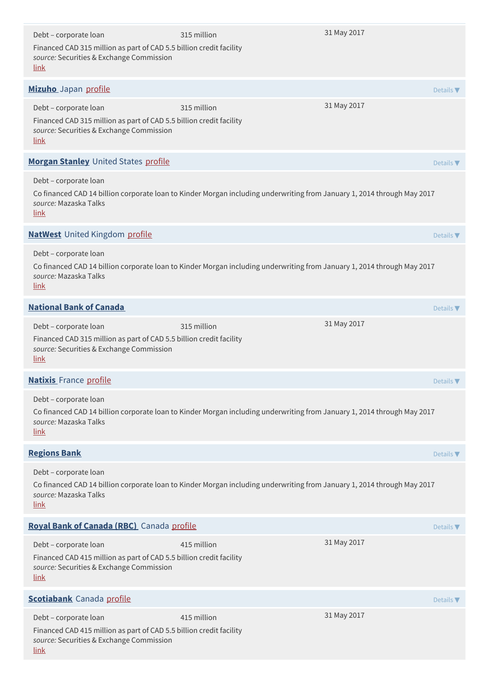| Debt - corporate loan<br>Financed CAD 315 million as part of CAD 5.5 billion credit facility<br>source: Securities & Exchange Commission<br><u>link</u>                                  | 315 million | 31 May 2017 |                              |
|------------------------------------------------------------------------------------------------------------------------------------------------------------------------------------------|-------------|-------------|------------------------------|
| Mizuho Japan profile                                                                                                                                                                     |             |             | Details $\blacktriangledown$ |
| Debt - corporate loan<br>Financed CAD 315 million as part of CAD 5.5 billion credit facility<br>source: Securities & Exchange Commission<br><u>link</u>                                  | 315 million | 31 May 2017 |                              |
| Morgan Stanley United States profile                                                                                                                                                     |             |             | Details $\blacktriangledown$ |
| Debt - corporate loan<br>Co financed CAD 14 billion corporate loan to Kinder Morgan including underwriting from January 1, 2014 through May 2017<br>source: Mazaska Talks<br><u>link</u> |             |             |                              |
| <b>NatWest</b> United Kingdom profile                                                                                                                                                    |             |             | Details $\blacktriangledown$ |
| Debt - corporate loan<br>Co financed CAD 14 billion corporate loan to Kinder Morgan including underwriting from January 1, 2014 through May 2017<br>source: Mazaska Talks<br>link        |             |             |                              |
| <b>National Bank of Canada</b>                                                                                                                                                           |             |             | Details $\blacktriangledown$ |
| Debt - corporate loan<br>Financed CAD 315 million as part of CAD 5.5 billion credit facility<br>source: Securities & Exchange Commission<br><u>link</u>                                  | 315 million | 31 May 2017 |                              |
| <b>Natixis</b> France profile                                                                                                                                                            |             |             | Details $\nabla$             |
| Debt - corporate loan<br>Co financed CAD 14 billion corporate loan to Kinder Morgan including underwriting from January 1, 2014 through May 2017<br>source: Mazaska Talks<br><u>link</u> |             |             |                              |
| <b>Regions Bank</b>                                                                                                                                                                      |             |             | Details $\nabla$             |
| Debt - corporate loan<br>Co financed CAD 14 billion corporate loan to Kinder Morgan including underwriting from January 1, 2014 through May 2017<br>source: Mazaska Talks<br><u>link</u> |             |             |                              |
| Royal Bank of Canada (RBC) Canada profile                                                                                                                                                |             |             | Details $\nabla$             |
| Debt - corporate loan<br>Financed CAD 415 million as part of CAD 5.5 billion credit facility<br>source: Securities & Exchange Commission<br><u>link</u>                                  | 415 million | 31 May 2017 |                              |
| <b>Scotiabank</b> Canada profile                                                                                                                                                         |             |             | Details $\nabla$             |
| Debt - corporate loan<br>Financed CAD 415 million as part of CAD 5.5 billion credit facility<br>source: Securities & Exchange Commission<br><u>link</u>                                  | 415 million | 31 May 2017 |                              |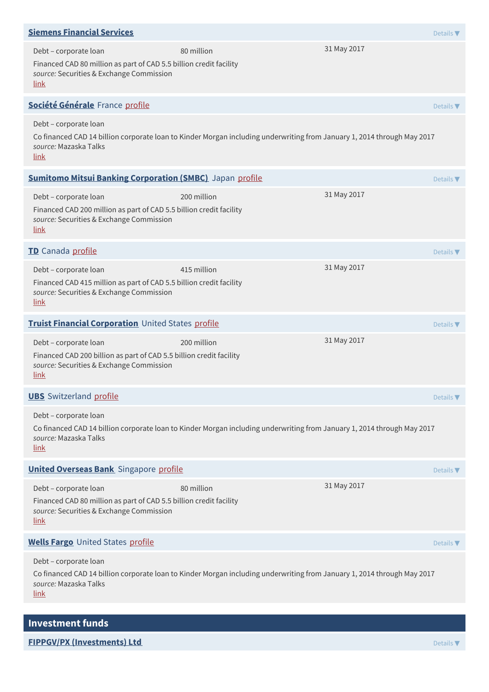| <b>Siemens Financial Services</b>                                                                                                                                                 |             |             | Details $\blacktriangledown$ |
|-----------------------------------------------------------------------------------------------------------------------------------------------------------------------------------|-------------|-------------|------------------------------|
| Debt - corporate loan<br>Financed CAD 80 million as part of CAD 5.5 billion credit facility<br>source: Securities & Exchange Commission<br><u>link</u>                            | 80 million  | 31 May 2017 |                              |
| Société Générale France profile                                                                                                                                                   |             |             | Details $\nabla$             |
| Debt - corporate loan<br>Co financed CAD 14 billion corporate loan to Kinder Morgan including underwriting from January 1, 2014 through May 2017<br>source: Mazaska Talks<br>link |             |             |                              |
| <b>Sumitomo Mitsui Banking Corporation (SMBC)</b> Japan profile                                                                                                                   |             |             | Details $\blacktriangledown$ |
| Debt - corporate loan<br>Financed CAD 200 million as part of CAD 5.5 billion credit facility<br>source: Securities & Exchange Commission<br>link                                  | 200 million | 31 May 2017 |                              |
| TD Canada profile                                                                                                                                                                 |             |             | Details $\blacktriangledown$ |
| Debt - corporate loan<br>Financed CAD 415 million as part of CAD 5.5 billion credit facility<br>source: Securities & Exchange Commission<br>link                                  | 415 million | 31 May 2017 |                              |
| Truist Financial Corporation United States profile                                                                                                                                |             |             | Details $\blacktriangledown$ |
| Debt - corporate loan<br>Financed CAD 200 billion as part of CAD 5.5 billion credit facility<br>source: Securities & Exchange Commission<br>link                                  | 200 million | 31 May 2017 |                              |
| <b>UBS</b> Switzerland profile                                                                                                                                                    |             |             | Details $\blacktriangledown$ |
| Debt - corporate loan<br>Co financed CAD 14 billion corporate loan to Kinder Morgan including underwriting from January 1, 2014 through May 2017<br>source: Mazaska Talks<br>link |             |             |                              |
| <b>United Overseas Bank</b> Singapore profile                                                                                                                                     |             |             | Details $\blacktriangledown$ |
| Debt - corporate loan<br>Financed CAD 80 million as part of CAD 5.5 billion credit facility<br>source: Securities & Exchange Commission<br>link                                   | 80 million  | 31 May 2017 |                              |
| <b>Wells Fargo United States profile</b>                                                                                                                                          |             |             | Details $\nabla$             |
| Debt - corporate loan<br>Co financed CAD 14 billion corporate loan to Kinder Morgan including underwriting from January 1, 2014 through May 2017<br>source: Mazaska Talks<br>link |             |             |                              |

**FIPPGV/PX (Investments) Ltd** Details ▼